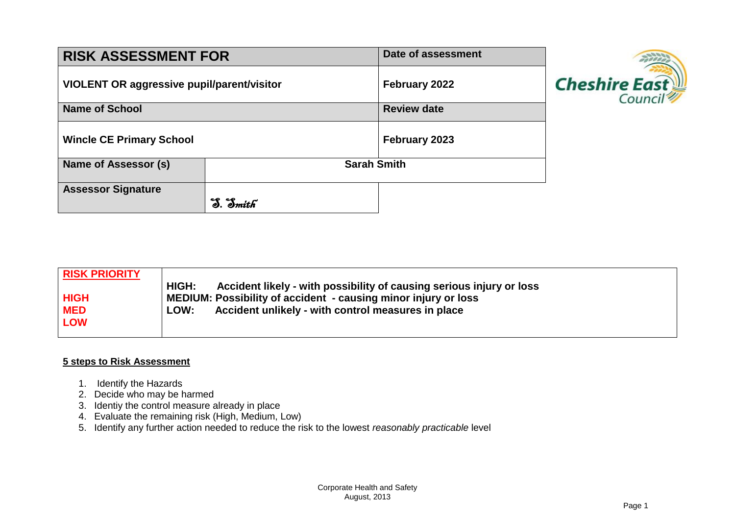| <b>RISK ASSESSMENT FOR</b>                        | Date of assessment |  |  |
|---------------------------------------------------|--------------------|--|--|
| <b>VIOLENT OR aggressive pupil/parent/visitor</b> | February 2022      |  |  |
| <b>Name of School</b>                             | <b>Review date</b> |  |  |
| <b>Wincle CE Primary School</b>                   | February 2023      |  |  |
| Name of Assessor (s)                              | <b>Sarah Smith</b> |  |  |
| <b>Assessor Signature</b>                         |                    |  |  |



| <b>RISK PRIORITY</b> |                                                                               |
|----------------------|-------------------------------------------------------------------------------|
|                      | HIGH:<br>Accident likely - with possibility of causing serious injury or loss |
| <b>HIGH</b>          | MEDIUM: Possibility of accident - causing minor injury or loss                |
| <b>MED</b>           | Accident unlikely - with control measures in place<br><b>LOW:</b>             |
| <b>LOW</b>           |                                                                               |
|                      |                                                                               |

## **5 steps to Risk Assessment**

- 1. Identify the Hazards
- 2. Decide who may be harmed
- 3. Identiy the control measure already in place
- 4. Evaluate the remaining risk (High, Medium, Low)
- 5. Identify any further action needed to reduce the risk to the lowest *reasonably practicable* level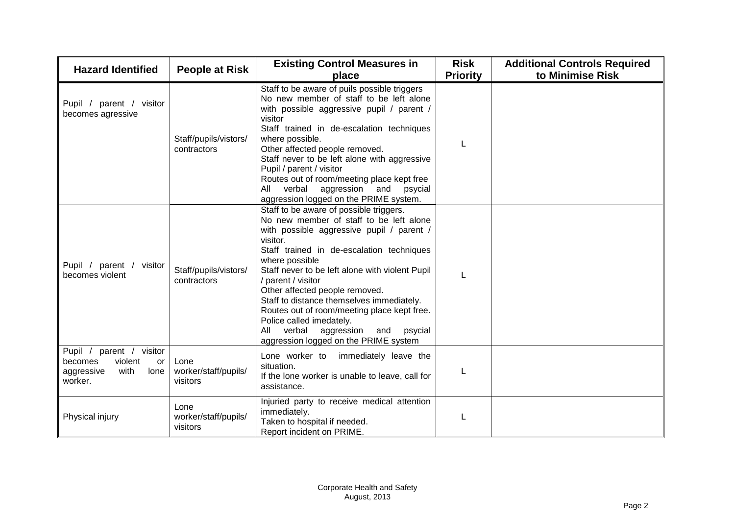| <b>Hazard Identified</b>                                                                         | <b>People at Risk</b>                    | <b>Existing Control Measures in</b><br>place                                                                                                                                                                                                                                                                                                                                                                                                                                                                                         | <b>Risk</b><br><b>Priority</b> | <b>Additional Controls Required</b><br>to Minimise Risk |
|--------------------------------------------------------------------------------------------------|------------------------------------------|--------------------------------------------------------------------------------------------------------------------------------------------------------------------------------------------------------------------------------------------------------------------------------------------------------------------------------------------------------------------------------------------------------------------------------------------------------------------------------------------------------------------------------------|--------------------------------|---------------------------------------------------------|
| Pupil / parent / visitor<br>becomes agressive                                                    | Staff/pupils/vistors/<br>contractors     | Staff to be aware of puils possible triggers<br>No new member of staff to be left alone<br>with possible aggressive pupil / parent /<br>visitor<br>Staff trained in de-escalation techniques<br>where possible.<br>Other affected people removed.<br>Staff never to be left alone with aggressive<br>Pupil / parent / visitor<br>Routes out of room/meeting place kept free<br>All verbal<br>aggression and<br>psycial<br>aggression logged on the PRIME system.                                                                     |                                |                                                         |
| Pupil / parent / visitor<br>becomes violent                                                      | Staff/pupils/vistors/<br>contractors     | Staff to be aware of possible triggers.<br>No new member of staff to be left alone<br>with possible aggressive pupil / parent /<br>visitor.<br>Staff trained in de-escalation techniques<br>where possible<br>Staff never to be left alone with violent Pupil<br>/ parent / visitor<br>Other affected people removed.<br>Staff to distance themselves immediately.<br>Routes out of room/meeting place kept free.<br>Police called imedately.<br>All<br>verbal<br>aggression and<br>psycial<br>aggression logged on the PRIME system |                                |                                                         |
| Pupil / parent /<br>visitor<br>violent<br>becomes<br>or<br>aggressive<br>with<br>lone<br>worker. | Lone<br>worker/staff/pupils/<br>visitors | Lone worker to<br>immediately leave the<br>situation.<br>If the lone worker is unable to leave, call for<br>assistance.                                                                                                                                                                                                                                                                                                                                                                                                              |                                |                                                         |
| Physical injury                                                                                  | Lone<br>worker/staff/pupils/<br>visitors | Injuried party to receive medical attention<br>immediately.<br>Taken to hospital if needed.<br>Report incident on PRIME.                                                                                                                                                                                                                                                                                                                                                                                                             |                                |                                                         |